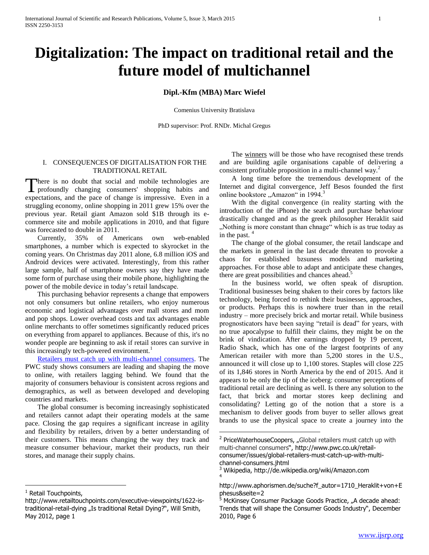## **Digitalization: The impact on traditional retail and the future model of multichannel**

#### **Dipl.-Kfm (MBA) Marc Wiefel**

Comenius University Bratislava

PhD supervisor: Prof. RNDr. Michal Gregus

 $\overline{a}$ 

#### I. CONSEQUENCES OF DIGITALISATION FOR THE TRADITIONAL RETAIL

There is no doubt that social and mobile technologies are There is no doubt that social and mobile technologies are profoundly changing consumers' shopping habits and expectations, and the pace of change is impressive. Even in a struggling economy, online shopping in 2011 grew 15% over the previous year. Retail giant Amazon sold \$1B through its ecommerce site and mobile applications in 2010, and that figure was forecasted to double in 2011.

 Currently, 35% of Americans own web-enabled smartphones, a number which is expected to skyrocket in the coming years. On Christmas day 2011 alone, 6.8 million iOS and Android devices were activated. Interestingly, from this rather large sample, half of smartphone owners say they have made some form of purchase using their mobile phone, highlighting the power of the mobile device in today's retail landscape.

 This purchasing behavior represents a change that empowers not only consumers but online retailers, who enjoy numerous economic and logistical advantages over mall stores and mom and pop shops. Lower overhead costs and tax advantages enable online merchants to offer sometimes significantly reduced prices on everything from apparel to appliances. Because of this, it's no wonder people are beginning to ask if retail stores can survive in this increasingly tech-powered environment.<sup>1</sup>

 [Retailers must catch up with multi-channel consumers.](http://www.pwc.com/gx/en/retail-consumer/retail-consumer-publications/global-multi-channel-consumer-survey/index.jhtml) The PWC study shows consumers are leading and shaping the move to online, with retailers lagging behind. We found that the majority of consumers behaviour is consistent across regions and demographics, as well as between developed and developing countries and markets.

 The global consumer is becoming increasingly sophisticated and retailers cannot adapt their operating models at the same pace. Closing the gap requires a significant increase in agility and flexibility by retailers, driven by a better understanding of their customers. This means changing the way they track and measure consumer behaviour, market their products, run their stores, and manage their supply chains.

 $\overline{a}$ 

 The winners will be those who have recognised these trends and are building agile organisations capable of delivering a consistent profitable proposition in a multi-channel way.<sup>2</sup>

 A long time before the tremendous development of the Internet and digital convergence, Jeff Besos founded the first online bookstore "Amazon" in 1994.<sup>3</sup>

 With the digital convergence (in reality starting with the introduction of the iPhone) the search and purchase behaviour drastically changed and as the greek philosopher Heraklit said "Nothing is more constant than chnage" which is as true today as in the past.  $4$ 

 The change of the global consumer, the retail landscape and the markets in general in the last decade threaten to provoke a chaos for established bzsuness models and marketing approaches. For those able to adapt and anticipate these changes, there are great possibilities and chances ahead.<sup>5</sup>

 In the business world, we often speak of disruption. Traditional businesses being shaken to their cores by factors like technology, being forced to rethink their businesses, approaches, or products. Perhaps this is nowhere truer than in the retail industry – more precisely brick and mortar retail. While business prognosticators have been saying "retail is dead" for years, with no true apocalypse to fulfill their claims, they might be on the brink of vindication. After earnings dropped by 19 percent, Radio Shack, which has one of the largest footprints of any American retailer with more than 5,200 stores in the U.S., announced it will close up to 1,100 stores. Staples will close 225 of its 1,846 stores in North America by the end of 2015. And it appears to be only the tip of the iceberg: consumer perceptions of traditional retail are declining as well. Is there any solution to the fact, that brick and mortar stores keep declining and consolidating? Letting go of the notion that a store is a mechanism to deliver goods from buyer to seller allows great brands to use the physical space to create a journey into the

<sup>&</sup>lt;sup>1</sup> Retail Touchpoints,

http://www.retailtouchpoints.com/executive-viewpoints/1622-istraditional-retail-dying "Is traditional Retail Dying?", Will Smith, May 2012, page 1

<sup>&</sup>lt;sup>2</sup> PriceWaterhouseCoopers, "Global retailers must catch up with [multi-channel consumers](http://www.pwc.com/gx/en/retail-consumer/retail-consumer-publications/global-multi-channel-consumer-survey/index.jhtml)", http://www.pwc.co.uk/retailconsumer/issues/global-retailers-must-catch-up-with-multichannel-consumers.jhtml

<sup>3</sup> Wikipedia, http://de.wikipedia.org/wiki/Amazon.com 4

http://www.aphorismen.de/suche?f\_autor=1710\_Heraklit+von+E phesus&seite=2

 $5$  McKinsey Consumer Package Goods Practice, "A decade ahead: Trends that will shape the Consumer Goods Industry", December 2010, Page 6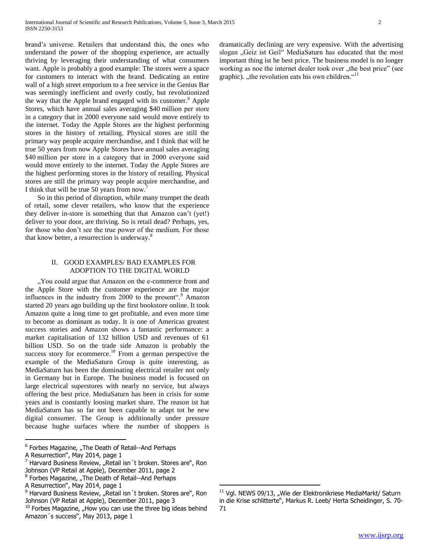brand's universe. Retailers that understand this, the ones who understand the power of the shopping experience, are actually thriving by leveraging their understanding of what consumers want. Apple is probably a good example: The stores were a space for customers to interact with the brand. Dedicating an entire wall of a high street emporium to a free service in the Genius Bar was seemingly inefficient and overly costly, but revolutionized the way that the Apple brand engaged with its customer.<sup>6</sup> Apple Stores, which have annual sales averaging \$40 million per store in a category that in 2000 everyone said would move entirely to the internet. Today the Apple Stores are the highest performing stores in the history of retailing. Physical stores are still the primary way people acquire merchandise, and I think that will be true 50 years from now Apple Stores have annual sales averaging \$40 million per store in a category that in 2000 everyone said would move entirely to the internet. Today the Apple Stores are the highest performing stores in the history of retailing. Physical stores are still the primary way people acquire merchandise, and I think that will be true 50 years from now.<sup>7</sup>

 So in this period of disruption, while many trumpet the death of retail, some clever retailers, who know that the experience they deliver in-store is something that that Amazon can't (yet!) deliver to your door, are thriving. So is retail dead? Perhaps, yes, for those who don't see the true power of the medium. For those that know better, a resurrection is underway.<sup>8</sup>

#### II. GOOD EXAMPLES/ BAD EXAMPLES FOR ADOPTION TO THE DIGITAL WORLD

". You could argue that Amazon on the e-commerce front and the Apple Store with the customer experience are the major influences in the industry from 2000 to the present".<sup>9</sup> Amazon started 20 years ago building up the first bookstore online. It took Amazon quite a long time to get profitable, and even more time to become as dominant as today. It is one of Americas greatest success stories and Amazon shows a fantastic performance: a market capitalisation of 132 billion USD and revenues of 61 billion USD. So on the trade side Amazon is probably the success story for ecommerce.<sup>10</sup> From a german perspective the example of the MediaSaturn Group is quite interesting, as MediaSaturn has been the dominating electrical retailer not only in Germany but in Europe. The business model is focused on large electrical superstores with nearly no service, but always offering the best price. MediaSaturn has been in crisis for some years and is constantly loosing market share. The reason ist hat MediaSaturn has so far not been capable to adapt tot he new digital consumer. The Group is additionally under pressure because hughe surfaces where the number of shoppers is

<sup>6</sup> Forbes Magazine, "The Death of Retail--And Perhaps A Resurrection", May 2014, page 1

 $\overline{a}$ 

dramatically declining are very expensive. With the advertising slogan "Geiz ist Geil" MediaSaturn has educated that the most important thing ist he best price. The business model is no longer working as noe the internet dealer took over "the best price" (see graphic). "the revolution eats his own children." $11$ 

 $^7$  Harvard Business Review, "Retail isn't broken. Stores are", Ron Johnson (VP Retail at Apple), December 2011, page 2

<sup>&</sup>lt;sup>8</sup> Forbes Magazine, "The Death of Retail--And Perhaps

A Resurrection", May 2014, page 1

 $9$  Harvard Business Review, "Retail isn't broken. Stores are", Ron Johnson (VP Retail at Apple), December 2011, page 3

 $10$  Forbes Magazine, "How you can use the three big ideas behind Amazon´s success", May 2013, page 1

 $11$  Vgl. NEWS 09/13, "Wie der Elektronikriese MediaMarkt/ Saturn in die Krise schlitterte", Markus R. Leeb/ Herta Scheidinger, S. 70- 71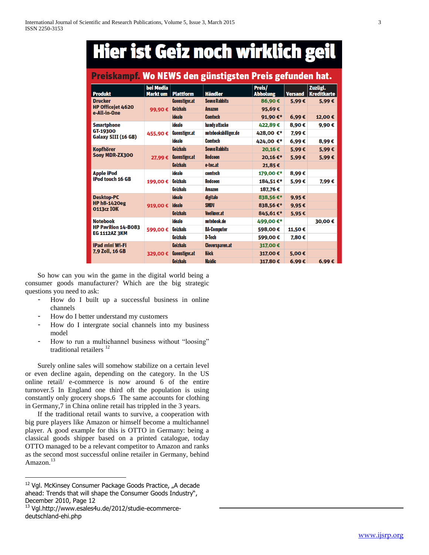# **Hier ist Geiz noch wirklich geil**

### <u>Preiskampf. Wo NEWS den günstigsten Preis gefunden hat.</u>

| <b>Produkt</b>                                                        | bei Media<br><b>Markt um</b> | <b>Plattform</b>     | <b>Händler</b>         | Preis/<br><b>Abholung</b> | <b>Versand</b> | Zuzügl.<br><b>Kreditkarte</b> |
|-----------------------------------------------------------------------|------------------------------|----------------------|------------------------|---------------------------|----------------|-------------------------------|
| <b>Drucker</b><br>HP Officejet 4620<br>e-All-in-One                   | 99,90€                       | Guenstiger.at        | <b>Seven Rabbits</b>   | 86,90€                    | 5,99€          | 5.99€                         |
|                                                                       |                              | Geizhals             | <b>Amazon</b>          | 95,69€                    |                |                               |
|                                                                       |                              | <b>idealo</b>        | <b>Comtech</b>         | 91,90€*                   | 6,99€          | 12,00€                        |
| <b>Smartphone</b><br>GT-19300<br>Galaxy SIII (16 GB)                  | 455,90€                      | idealo               | handy attacke          | 422,89€                   | 8,90€          | 9,90€                         |
|                                                                       |                              | <b>Guenstiger.at</b> | notebooksbilliger.de   | 428,00 €*                 | 7.99€          |                               |
|                                                                       |                              | idealo               | <b>Comtech</b>         | 424.00 €*                 | 6,99€          | 8,99€                         |
| <b>Kopfhörer</b><br>Sony MDR-ZX300                                    | 27.99€                       | <b>Geizhals</b>      | <b>Seven Rabbits</b>   | 20,16€                    | 5,99€          | 5,99€                         |
|                                                                       |                              | <b>Guenstiger.at</b> | <b>Redcoon</b>         | 20.16€*                   | 5,99€          | 5,99€                         |
|                                                                       |                              | <b>Geizhals</b>      | e-tec.at               | 21,85€                    |                |                               |
| <b>Apple iPod</b><br>iPod touch 16 GB                                 | 199,00€                      | idealo               | comtech                | 179,00€*                  | 8,99€          |                               |
|                                                                       |                              | Geizhals             | <b>Redcoon</b>         | 184,51€*                  | 5.99€          | 7.99€                         |
|                                                                       |                              | <b>Geizhals</b>      | <b>Amazon</b>          | 187.76€                   |                |                               |
| <b>Desktop-PC</b><br><b>HP h8-1420eg</b><br><b>0113cz IOK</b>         | 919.00€                      | idealo               | digitalo               | 838,56€*                  | 9,95€          |                               |
|                                                                       |                              | <b>idealo</b>        | <b>SMDV</b>            | 838,56€*                  | 9,95€          |                               |
|                                                                       |                              | <b>Geizhals</b>      | Voelkner.at            | 845,61€*                  | 5,95€          |                               |
| <b>Notebook</b><br><b>HP Pavilion 14-B083</b><br><b>EG 1112AZ 3KM</b> | 599,00€                      | idealo               | notebook.de            | 499,00€*                  |                | 30,00€                        |
|                                                                       |                              | Geizhals             | <b>BA-Computer</b>     | 598,00€                   | 11,50€         |                               |
|                                                                       |                              | <b>Geizhals</b>      | D-Tech                 | 599,00€                   | 7.80€          |                               |
| iPad mini Wi-Fi<br>7.9 Zoll, 16 GB                                    | 329,00€                      | <b>Geizhals</b>      | <b>Cleversparen.at</b> | 317,00€                   |                |                               |
|                                                                       |                              | Guenstiger.at        | <b>Köck</b>            | 317,00€                   | 5.00€          |                               |
|                                                                       |                              | <b>Geizhals</b>      | <b>Majdic</b>          | 317,80€                   | 6.99€          | 6,99€                         |

 $\overline{a}$ 

 So how can you win the game in the digital world being a consumer goods manufacturer? Which are the big strategic questions you need to ask:

- How do I built up a successful business in online channels
- How do I better understand my customers
- How do I intergrate social channels into my business model
- How to run a multichannel business without "loosing" traditional retailers<sup>12</sup>

 Surely online sales will somehow stabilize on a certain level or even decline again, depending on the category. In the US online retail/ e-commerce is now around 6 of the entire turnover.5 In England one third oft the population is using constantly only grocery shops.6 The same accounts for clothing in Germany,7 in China online retail has trippled in the 3 years.

 If the traditional retail wants to survive, a cooperation with big pure players like Amazon or himself become a multichannel player. A good example for this is OTTO in Germany: being a classical goods shipper based on a printed catalogue, today OTTO managed to be a relevant competitor to Amazon and ranks as the second most successful online retailer in Germany, behind Amazon.<sup>13</sup>

<sup>&</sup>lt;sup>12</sup> Vgl. McKinsey Consumer Package Goods Practice, "A decade ahead: Trends that will shape the Consumer Goods Industry", December 2010, Page 12

<sup>13</sup> Vgl.http://www.esales4u.de/2012/studie-ecommercedeutschland-ehi.php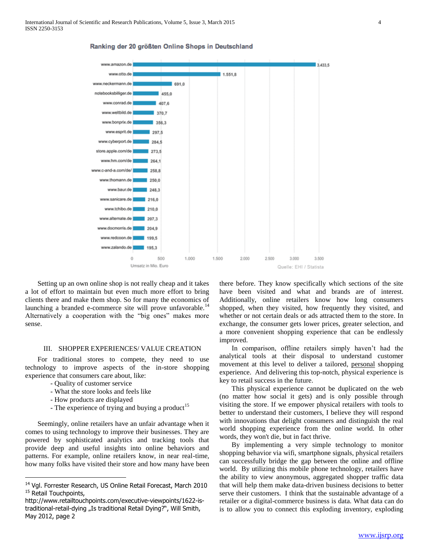

Ranking der 20 größten Online Shops in Deutschland

 Setting up an own online shop is not really cheap and it takes a lot of effort to maintain but even much more effort to bring clients there and make them shop. So for many the economics of launching a branded e-commerce site will prove unfavorable.<sup>14</sup> Alternatively a cooperation with the "big ones" makes more sense.

#### III. SHOPPER EXPERIENCES/ VALUE CREATION

 For traditional stores to compete, they need to use technology to improve aspects of the in-store shopping experience that consumers care about, like:

- Quality of customer service
- What the store looks and feels like
- How products are displayed

 $\overline{a}$ 

- The experience of trying and buying a product<sup>15</sup>

 Seemingly, online retailers have an unfair advantage when it comes to using technology to improve their businesses. They are powered by sophisticated analytics and tracking tools that provide deep and useful insights into online behaviors and patterns. For example, online retailers know, in near real-time, how many folks have visited their store and how many have been there before. They know specifically which sections of the site have been visited and what and brands are of interest. Additionally, online retailers know how long consumers shopped, when they visited, how frequently they visited, and whether or not certain deals or ads attracted them to the store. In exchange, the consumer gets lower prices, greater selection, and a more convenient shopping experience that can be endlessly improved.

 In comparison, offline retailers simply haven't had the analytical tools at their disposal to understand customer movement at this level to deliver a tailored, personal shopping experience. And delivering this top-notch, physical experience is key to retail success in the future.

 This physical experience cannot be duplicated on the web (no matter how social it gets) and is only possible through visiting the store. If we empower physical retailers with tools to better to understand their customers, I believe they will respond with innovations that delight consumers and distinguish the real world shopping experience from the online world. In other words, they won't die, but in fact thrive.

 By implementing a very simple technology to monitor shopping behavior via wifi, smartphone signals, physical retailers can successfully bridge the gap between the online and offline world. By utilizing this mobile phone technology, retailers have the ability to view anonymous, aggregated shopper traffic data that will help them make data-driven business decisions to better serve their customers. I think that the sustainable advantage of a retailer or a digital-commerce business is data. What data can do is to allow you to connect this exploding inventory, exploding

<sup>14</sup> Vgl. Forrester Research, US Online Retail Forecast, March 2010 <sup>15</sup> Retail Touchpoints,

http://www.retailtouchpoints.com/executive-viewpoints/1622-istraditional-retail-dying "Is traditional Retail Dying?", Will Smith, May 2012, page 2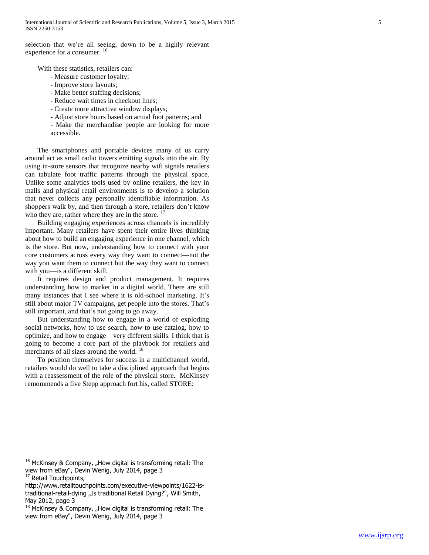selection that we're all seeing, down to be a highly relevant experience for a consumer. <sup>16</sup>

With these statistics, retailers can:

- Measure customer loyalty;
- Improve store layouts;
- Make better staffing decisions;
- Reduce wait times in checkout lines;
- Create more attractive window displays;
- Adjust store hours based on actual foot patterns; and
- Make the merchandise people are looking for more accessible.

 The smartphones and portable devices many of us carry around act as small radio towers emitting signals into the air. By using in-store sensors that recognize nearby wifi signals retailers can tabulate foot traffic patterns through the physical space. Unlike some analytics tools used by online retailers, the key in malls and physical retail environments is to develop a solution that never collects any personally identifiable information. As shoppers walk by, and then through a store, retailers don't know who they are, rather where they are in the store.  $\frac{17}{16}$ 

 Building engaging experiences across channels is incredibly important. Many retailers have spent their entire lives thinking about how to build an engaging experience in one channel, which is the store. But now, understanding how to connect with your core customers across every way they want to connect—not the way you want them to connect but the way they want to connect with you—is a different skill.

 It requires design and product management. It requires understanding how to market in a digital world. There are still many instances that I see where it is old-school marketing. It's still about major TV campaigns, get people into the stores. That's still important, and that's not going to go away.

 But understanding how to engage in a world of exploding social networks, how to use search, how to use catalog, how to optimize, and how to engage—very different skills. I think that is going to become a core part of the playbook for retailers and merchants of all sizes around the world. <sup>18</sup>

 To position themselves for success in a multichannel world, retailers would do well to take a disciplined approach that begins with a reassessment of the role of the physical store. McKinsey remommends a five Stepp approach fort his, called STORE:

 $16$  McKinsey & Company, "How digital is transforming retail: The view from eBay", Devin Wenig, July 2014, page 3

<sup>&</sup>lt;sup>17</sup> Retail Touchpoints,

http://www.retailtouchpoints.com/executive-viewpoints/1622-istraditional-retail-dying "Is traditional Retail Dying?", Will Smith, May 2012, page 3

 $18$  McKinsey & Company, "How digital is transforming retail: The view from eBay", Devin Wenig, July 2014, page 3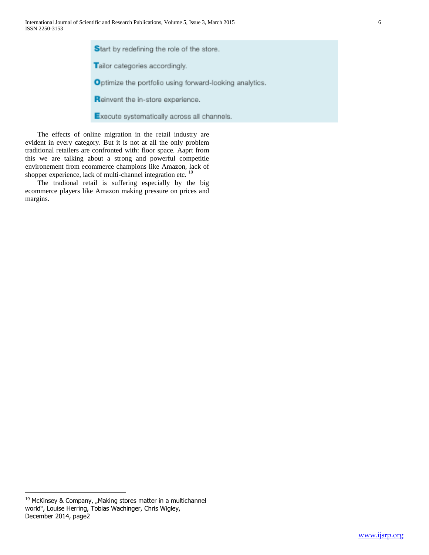Start by redefining the role of the store. Tailor categories accordingly. Optimize the portfolio using forward-looking analytics. Reinvent the in-store experience.

Execute systematically across all channels.

 The effects of online migration in the retail industry are evident in every category. But it is not at all the only problem traditional retailers are confronted with: floor space. Aaprt from this we are talking about a strong and powerful competitie environement from ecommerce champions like Amazon, lack of shopper experience, lack of multi-channel integration etc.<sup>19</sup>

 The tradional retail is suffering especially by the big ecommerce players like Amazon making pressure on prices and margins.

 $19$  McKinsey & Company, "Making stores matter in a multichannel world", Louise Herring, Tobias Wachinger, Chris Wigley, December 2014, page2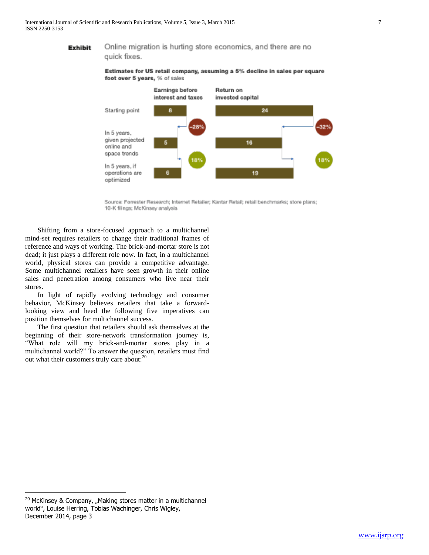#### Online migration is hurting store economics, and there are no **Exhibit**

quick fixes.

Estimates for US retail company, assuming a 5% decline in sales per square foot over 5 years, % of sales



Source: Forrester Research; Internet Retailer; Kantar Retail; retail benchmarks; store plans; 10-K filings; McKinsey analysis

 Shifting from a store-focused approach to a multichannel mind-set requires retailers to change their traditional frames of reference and ways of working. The brick-and-mortar store is not dead; it just plays a different role now. In fact, in a multichannel world, physical stores can provide a competitive advantage. Some multichannel retailers have seen growth in their online sales and penetration among consumers who live near their stores.

 In light of rapidly evolving technology and consumer behavior, McKinsey believes retailers that take a forwardlooking view and heed the following five imperatives can position themselves for multichannel success.

 The first question that retailers should ask themselves at the beginning of their store-network transformation journey is, "What role will my brick-and-mortar stores play in a multichannel world?" To answer the question, retailers must find out what their customers truly care about: $^{20}$ 

 $20$  McKinsey & Company, "Making stores matter in a multichannel world", Louise Herring, Tobias Wachinger, Chris Wigley, December 2014, page 3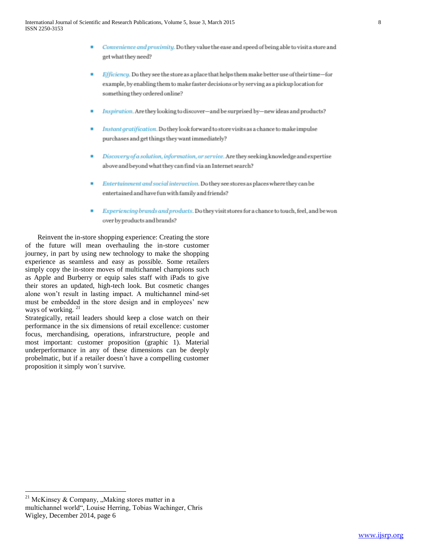- Convenience and proximity. Do they value the ease and speed of being able to visit a store and get what they need?
- Efficiency. Do they see the store as a place that helps them make better use of their time-for example, by enabling them to make faster decisions or by serving as a pickup location for something they ordered online?
- Inspiration. Are they looking to discover-and be surprised by-new ideas and products?
- Instant gratification. Do they look forward to store visits as a chance to make impulse purchases and get things they want immediately?
- Discovery of a solution, information, or service. Are they seeking knowledge and expertise above and beyond what they can find via an Internet search?
- Entertainment and social interaction. Do they see stores as places where they can be entertained and have fun with family and friends?
- Experiencing brands and products. Do they visit stores for a chance to touch, feel, and be won over by products and brands?

 Reinvent the in-store shopping experience: Creating the store of the future will mean overhauling the in-store customer journey, in part by using new technology to make the shopping experience as seamless and easy as possible. Some retailers simply copy the in-store moves of multichannel champions such as Apple and Burberry or equip sales staff with iPads to give their stores an updated, high-tech look. But cosmetic changes alone won't result in lasting impact. A multichannel mind-set must be embedded in the store design and in employees' new ways of working.  $21$ 

Strategically, retail leaders should keep a close watch on their performance in the six dimensions of retail excellence: customer focus, merchandising, operations, infrarstructure, people and most important: customer proposition (graphic 1). Material underperformance in any of these dimensions can be deeply probelmatic, but if a retailer doesn´t have a compelling customer proposition it simply won´t survive.

<sup>&</sup>lt;sup>21</sup> McKinsey & Company, "Making stores matter in a multichannel world", Louise Herring, Tobias Wachinger, Chris Wigley, December 2014, page 6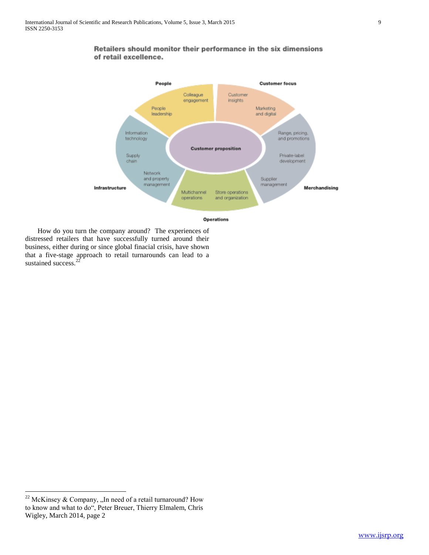

Retailers should monitor their performance in the six dimensions of retail excellence.

 How do you turn the company around? The experiences of distressed retailers that have successfully turned around their business, either during or since global finacial crisis, have shown that a five-stage approach to retail turnarounds can lead to a sustained success.<sup>22</sup>

<sup>&</sup>lt;sup>22</sup> McKinsey & Company, "In need of a retail turnaround? How to know and what to do", Peter Breuer, Thierry Elmalem, Chris Wigley, March 2014, page 2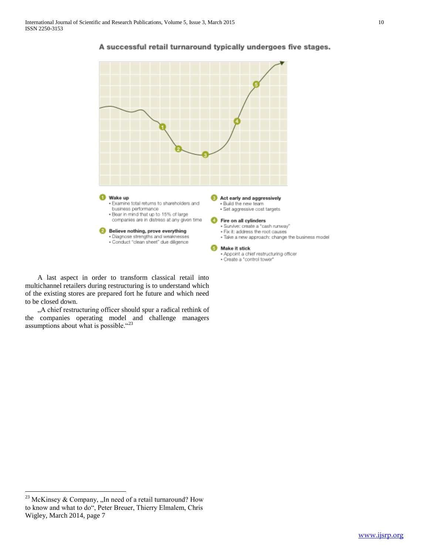

#### A successful retail turnaround typically undergoes five stages.

 A last aspect in order to transform classical retail into multichannel retailers during restructuring is to understand which of the existing stores are prepared fort he future and which need to be closed down.

"A chief restructuring officer should spur a radical rethink of the companies operating model and challenge managers assumptions about what is possible. "23

<sup>&</sup>lt;sup>23</sup> McKinsey & Company, "In need of a retail turnaround? How to know and what to do", Peter Breuer, Thierry Elmalem, Chris Wigley, March 2014, page 7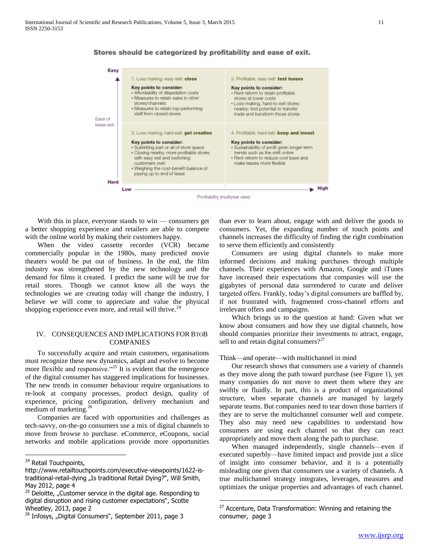

 $\overline{a}$ 

#### Stores should be categorized by profitability and ease of exit.

 With this in place, everyone stands to win — consumers get a better shopping experience and retailers are able to compete with the online world by making their customers happy.

When the video cassette recorder (VCR) became commercially popular in the 1980s, many predicted movie theaters would be put out of business. In the end, the film industry was strengthened by the new technology and the demand for films it created. I predict the same will be true for retail stores. Though we cannot know all the ways the technologies we are creating today will change the industry, I believe we will come to appreciate and value the physical shopping experience even more, and retail will thrive.<sup>24</sup>

#### IV. CONSEQUENCES AND IMPLICATIONS FOR BTOB COMPANIES

 To successfully acquire and retain customers, organisations must recognize these new dynamics, adapt and evolve to become more flexible and responsive.  $425$  It is evident that the emergence of the digital consumer has staggered implications for businesses. The new trends in consumer behaviour require organisations to re-look at company processes, product design, quality of experience, pricing configuration, delivery mechanism and medium of marketing.<sup>26</sup>

 Companies are faced with opportunities and challenges as tech-savvy, on-the-go consumers use a mix of digital channels to move from browse to purchase. eCommerce, eCoupons, social networks and mobile applications provide more opportunities

 $\overline{a}$ 

than ever to learn about, engage with and deliver the goods to consumers. Yet, the expanding number of touch points and channels increases the difficulty of finding the right combination to serve them efficiently and consistently

 Consumers are using digital channels to make more informed decisions and making purchases through multiple channels. Their experiences with Amazon, Google and iTunes have increased their expectations that companies will use the gigabytes of personal data surrendered to curate and deliver targeted offers. Frankly, today's digital consumers are baffled by, if not frustrated with, fragmented cross-channel efforts and irrelevant offers and campaigns.

 Which brings us to the question at hand: Given what we know about consumers and how they use digital channels, how should companies prioritize their investments to attract, engage, sell to and retain digital consumers? $2^{27}$ 

#### Think—and operate—with multichannel in mind

 Our research shows that consumers use a variety of channels as they move along the path toward purchase (see Figure 1), yet many companies do not move to meet them where they are swiftly or fluidly. In part, this is a product of organizational structure, when separate channels are managed by largely separate teams. But companies need to tear down those barriers if they are to serve the multichannel consumer well and compete. They also may need new capabilities to understand how consumers are using each channel so that they can react appropriately and move them along the path to purchase.

 When managed independently, single channels—even if executed superbly—have limited impact and provide just a slice of insight into consumer behavior, and it is a potentially misleading one given that consumers use a variety of channels. A true multichannel strategy integrates, leverages, measures and optimizes the unique properties and advantages of each channel.

<sup>&</sup>lt;sup>24</sup> Retail Touchpoints,

http://www.retailtouchpoints.com/executive-viewpoints/1622-istraditional-retail-dying "Is traditional Retail Dying?", Will Smith, May 2012, page 4

 $25$  Deloitte, "Customer service in the digital age. Responding to digital disruption and rising customer expectations", Scotte Wheatley, 2013, page 2

 $26$  Infosys, "Digital Consumers", September 2011, page 3

<sup>&</sup>lt;sup>27</sup> Accenture, Data Transformation: Winning and retaining the consumer, page 3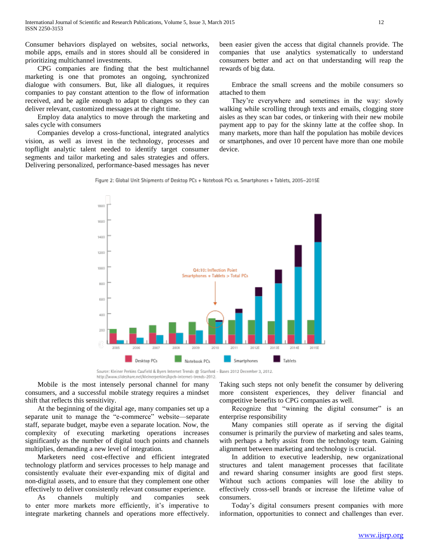Consumer behaviors displayed on websites, social networks, mobile apps, emails and in stores should all be considered in prioritizing multichannel investments.

 CPG companies are finding that the best multichannel marketing is one that promotes an ongoing, synchronized dialogue with consumers. But, like all dialogues, it requires companies to pay constant attention to the flow of information received, and be agile enough to adapt to changes so they can deliver relevant, customized messages at the right time.

 Employ data analytics to move through the marketing and sales cycle with consumers

 Companies develop a cross-functional, integrated analytics vision, as well as invest in the technology, processes and topflight analytic talent needed to identify target consumer segments and tailor marketing and sales strategies and offers. Delivering personalized, performance-based messages has never

been easier given the access that digital channels provide. The companies that use analytics systematically to understand consumers better and act on that understanding will reap the rewards of big data.

 Embrace the small screens and the mobile consumers so attached to them

 They're everywhere and sometimes in the way: slowly walking while scrolling through texts and emails, clogging store aisles as they scan bar codes, or tinkering with their new mobile payment app to pay for the skinny latte at the coffee shop. In many markets, more than half the population has mobile devices or smartphones, and over 10 percent have more than one mobile device.





Source: Kleiner Perkins Caufield & Byers Internet Trends @ Stanford - Bases 2012 December 3, 2012. http://www.slideshare.net/kleinerperkins/kpcb-internet-trends-2012.

 Mobile is the most intensely personal channel for many consumers, and a successful mobile strategy requires a mindset shift that reflects this sensitivity.

 At the beginning of the digital age, many companies set up a separate unit to manage the "e-commerce" website—separate staff, separate budget, maybe even a separate location. Now, the complexity of executing marketing operations increases significantly as the number of digital touch points and channels multiplies, demanding a new level of integration.

 Marketers need cost-effective and efficient integrated technology platform and services processes to help manage and consistently evaluate their ever-expanding mix of digital and non-digital assets, and to ensure that they complement one other effectively to deliver consistently relevant consumer experience.

 As channels multiply and companies seek to enter more markets more efficiently, it's imperative to integrate marketing channels and operations more effectively. Taking such steps not only benefit the consumer by delivering more consistent experiences, they deliver financial and competitive benefits to CPG companies as well.

Recognize that "winning the digital consumer" is an enterprise responsibility

 Many companies still operate as if serving the digital consumer is primarily the purview of marketing and sales teams, with perhaps a hefty assist from the technology team. Gaining alignment between marketing and technology is crucial.

 In addition to executive leadership, new organizational structures and talent management processes that facilitate and reward sharing consumer insights are good first steps. Without such actions companies will lose the ability to effectively cross-sell brands or increase the lifetime value of consumers.

 Today's digital consumers present companies with more information, opportunities to connect and challenges than ever.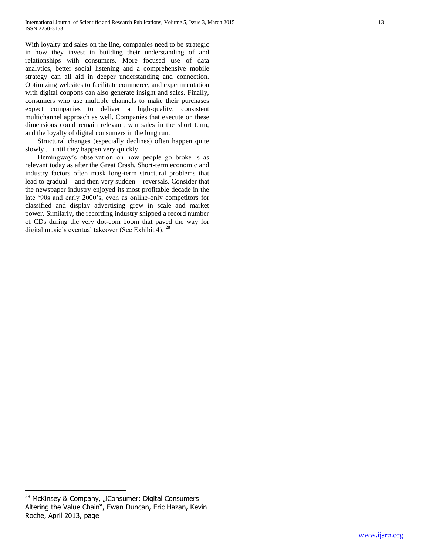With loyalty and sales on the line, companies need to be strategic in how they invest in building their understanding of and relationships with consumers. More focused use of data analytics, better social listening and a comprehensive mobile strategy can all aid in deeper understanding and connection. Optimizing websites to facilitate commerce, and experimentation with digital coupons can also generate insight and sales. Finally, consumers who use multiple channels to make their purchases expect companies to deliver a high-quality, consistent multichannel approach as well. Companies that execute on these dimensions could remain relevant, win sales in the short term, and the loyalty of digital consumers in the long run.

 Structural changes (especially declines) often happen quite slowly ... until they happen very quickly.

 Hemingway's observation on how people go broke is as relevant today as after the Great Crash. Short-term economic and industry factors often mask long-term structural problems that lead to gradual – and then very sudden – reversals. Consider that the newspaper industry enjoyed its most profitable decade in the late '90s and early 2000's, even as online-only competitors for classified and display advertising grew in scale and market power. Similarly, the recording industry shipped a record number of CDs during the very dot-com boom that paved the way for digital music's eventual takeover (See Exhibit 4).<sup>28</sup>

<sup>&</sup>lt;sup>28</sup> McKinsey & Company, "iConsumer: Digital Consumers Altering the Value Chain", Ewan Duncan, Eric Hazan, Kevin Roche, April 2013, page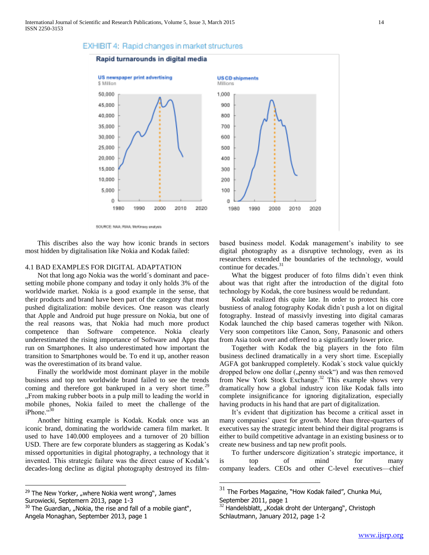#### Rapid turnarounds in digital media





SOURCE: NAA: RIAA: McKinsoy analysis

 This discribes also the way how iconic brands in sectors most hidden by digitalisation like Nokia and Kodak failed:

#### 4.1 BAD EXAMPLES FOR DIGITAL ADAPTATION

 Not that long ago Nokia was the world´s dominant and pacesetting mobile phone company and today it only holds 3% of the worldwide market. Nokia is a good example in the sense, that their products and brand have been part of the category that most pushed digitalization: mobile devices. One reason was clearly that Apple and Android put huge pressure on Nokia, but one of the real reasons was, that Nokia had much more product competence than Software competence. Nokia clearly underestimated the rising importance of Software and Apps that run on Smartphones. It also underestimated how important the transition to Smartphones would be. To end it up, another reason was the overestimation of its brand value.

 Finally the worldwide most dominant player in the mobile business and top ten worldwide brand failed to see the trends coming and therefore got bankruped in a very short time.<sup>29</sup> "From making rubber boots in a pulp mill to leading the world in mobile phones, Nokia failed to meet the challenge of the iPhone."

 Another hitting example is Kodak. Kodak once was an iconic brand, dominating the worldwide camera film market. It used to have 140.000 employees and a turnover of 20 billion USD. There are few corporate blunders as staggering as Kodak's missed opportunities in digital photography, a technology that it invented. This strategic failure was the direct cause of Kodak's decades-long decline as digital photography destroyed its film-

 $\overline{a}$ 

based business model. Kodak management's inability to see digital photography as a disruptive technology, even as its researchers extended the boundaries of the technology, would continue for decades.<sup>31</sup>

What the biggest producer of foto films didn't even think about was that right after the introduction of the digital foto technology by Kodak, the core business would be redundant.

 Kodak realized this quite late. In order to protect his core busniess of analog fotography Kodak didn`t push a lot on digital fotography. Instead of massivly investing into digital camaras Kodak launched the chip based cameras together with Nikon. Very soon competitors like Canon, Sony, Panasonic and others from Asia took over and offered to a significantly lower price.

 Together with Kodak the big players in the foto film business declined dramatically in a very short time. Escepially AGFA got bankrupped completely. Kodak`s stock value quickly dropped below one dollar ("penny stock") and was then removed from New York Stock Exchange.<sup>32</sup> This example shows very dramatically how a global industry icon like Kodak falls into complete insignificance for ignoring digitalization, especially having products in his hand that are part of digitalization.

 It's evident that digitization has become a critical asset in many companies' quest for growth. More than three-quarters of executives say the strategic intent behind their digital programs is either to build competitive advantage in an existing business or to create new business and tap new profit pools.

 To further underscore digitization's strategic importance, it is top of mind for many company leaders. CEOs and other C-level executives—chief

 $29$  The New Yorker, "where Nokia went wrong", James Surowiecki, Septemern 2013, page 1-3

 $30$  The Guardian, "Nokia, the rise and fall of a mobile giant", Angela Monaghan, September 2013, page 1

 $31$  The Forbes Magazine, "How Kodak failed", Chunka Mui,

September 2011, page 1

 $32$  Handelsblatt, "Kodak droht der Untergang", Christoph Schlautmann, January 2012, page 1-2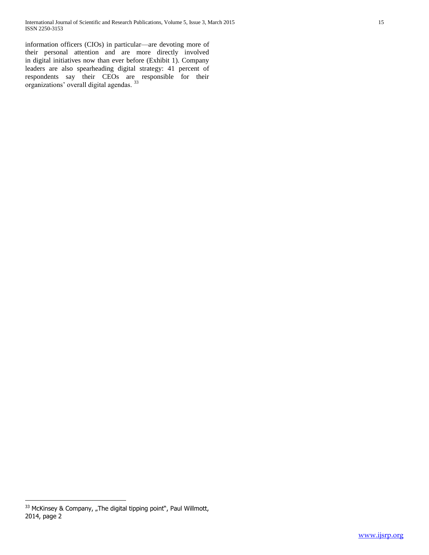information officers (CIOs) in particular—are devoting more of their personal attention and are more directly involved in digital initiatives now than ever before (Exhibit 1). Company leaders are also spearheading digital strategy: 41 percent of respondents say their CEOs are responsible for their organizations' overall digital agendas. 33

 $\overline{a}$  $33$  McKinsey & Company, "The digital tipping point", Paul Willmott, 2014, page 2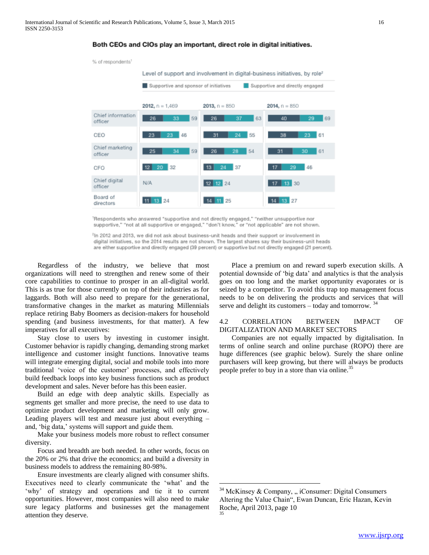



Respondents who answered "supportive and not directly engaged," "neither unsupportive nor supportive," "not at all supportive or engaged," "don't know," or "not applicable" are not shown.

<sup>2</sup>In 2012 and 2013, we did not ask about business-unit heads and their support or involvement in digital initiatives, so the 2014 results are not shown. The largest shares say their business-unit heads are either supportive and directly engaged (39 percent) or supportive but not directly engaged (21 percent).

 $\overline{a}$ 

 Regardless of the industry, we believe that most organizations will need to strengthen and renew some of their core capabilities to continue to prosper in an all-digital world. This is as true for those currently on top of their industries as for laggards. Both will also need to prepare for the generational, transformative changes in the market as maturing Millennials replace retiring Baby Boomers as decision-makers for household spending (and business investments, for that matter). A few imperatives for all executives:

 Stay close to users by investing in customer insight. Customer behavior is rapidly changing, demanding strong market intelligence and customer insight functions. Innovative teams will integrate emerging digital, social and mobile tools into more traditional 'voice of the customer' processes, and effectively build feedback loops into key business functions such as product development and sales. Never before has this been easier.

 Build an edge with deep analytic skills. Especially as segments get smaller and more precise, the need to use data to optimize product development and marketing will only grow. Leading players will test and measure just about everything – and, 'big data,' systems will support and guide them.

 Make your business models more robust to reflect consumer diversity.

 Focus and breadth are both needed. In other words, focus on the 20% or 2% that drive the economics; and build a diversity in business models to address the remaining 80-98%.

 Ensure investments are clearly aligned with consumer shifts. Executives need to clearly communicate the 'what' and the 'why' of strategy and operations and tie it to current opportunities. However, most companies will also need to make sure legacy platforms and businesses get the management attention they deserve.

 Place a premium on and reward superb execution skills. A potential downside of 'big data' and analytics is that the analysis goes on too long and the market opportunity evaporates or is seized by a competitor. To avoid this trap top management focus needs to be on delivering the products and services that will serve and delight its customers – today and tomorrow.  $34$ 

#### 4.2 CORRELATION BETWEEN IMPACT OF DIGITALIZATION AND MARKET SECTORS

 Companies are not equally impacted by digitalisation. In terms of online search and online purchase (ROPO) there are huge differences (see graphic below). Surely the share online purchasers will keep growing, but there will always be products people prefer to buy in a store than via online.<sup>35</sup>

 $34$  McKinsey & Company, " iConsumer: Digital Consumers Altering the Value Chain", Ewan Duncan, Eric Hazan, Kevin Roche, April 2013, page 10 35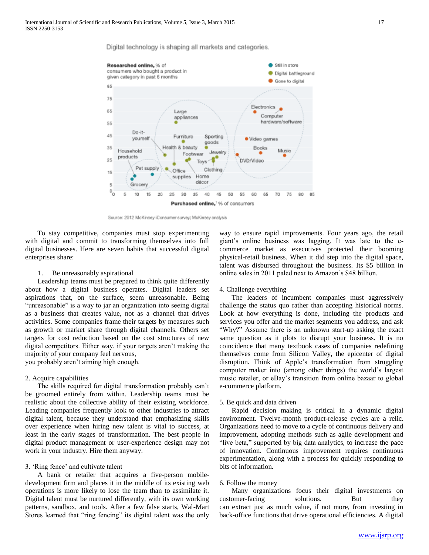Digital technology is shaping all markets and categories.



Source: 2012 McKinsey iConsumer survey; McKinsey analysis

 To stay competitive, companies must stop experimenting with digital and commit to transforming themselves into full digital businesses. Here are seven habits that successful digital enterprises share:

#### 1. Be unreasonably aspirational

 Leadership teams must be prepared to think quite differently about how a digital business operates. Digital leaders set aspirations that, on the surface, seem unreasonable. Being "unreasonable" is a way to jar an organization into seeing digital as a business that creates value, not as a channel that drives activities. Some companies frame their targets by measures such as growth or market share through digital channels. Others set targets for cost reduction based on the cost structures of new digital competitors. Either way, if your targets aren't making the majority of your company feel nervous, you probably aren't aiming high enough.

#### 2. Acquire capabilities

 The skills required for digital transformation probably can't be groomed entirely from within. Leadership teams must be realistic about the collective ability of their existing workforce. Leading companies frequently look to other industries to attract digital talent, because they understand that emphasizing skills over experience when hiring new talent is vital to success, at least in the early stages of transformation. The best people in digital product management or user-experience design may not work in your industry. Hire them anyway.

#### 3. 'Ring fence' and cultivate talent

 A bank or retailer that acquires a five-person mobiledevelopment firm and places it in the middle of its existing web operations is more likely to lose the team than to assimilate it. Digital talent must be nurtured differently, with its own working patterns, sandbox, and tools. After a few false starts, Wal-Mart Stores learned that "ring fencing" its digital talent was the only

way to ensure rapid improvements. Four years ago, the retail giant's online business was lagging. It was late to the ecommerce market as executives protected their booming physical-retail business. When it did step into the digital space, talent was disbursed throughout the business. Its \$5 billion in online sales in 2011 paled next to Amazon's \$48 billion.

#### 4. Challenge everything

 The leaders of incumbent companies must aggressively challenge the status quo rather than accepting historical norms. Look at how everything is done, including the products and services you offer and the market segments you address, and ask "Why?" Assume there is an unknown start-up asking the exact same question as it plots to disrupt your business. It is no coincidence that many textbook cases of companies redefining themselves come from Silicon Valley, the epicenter of digital disruption. Think of Apple's transformation from struggling computer maker into (among other things) the world's largest music retailer, or eBay's transition from online bazaar to global e-commerce platform.

#### 5. Be quick and data driven

 Rapid decision making is critical in a dynamic digital environment. Twelve-month product-release cycles are a relic. Organizations need to move to a cycle of continuous delivery and improvement, adopting methods such as agile development and "live beta," supported by big data analytics, to increase the pace of innovation. Continuous improvement requires continuous experimentation, along with a process for quickly responding to bits of information.

#### 6. Follow the money

 Many organizations focus their digital investments on customer-facing solutions. But they can extract just as much value, if not more, from investing in back-office functions that drive operational efficiencies. A digital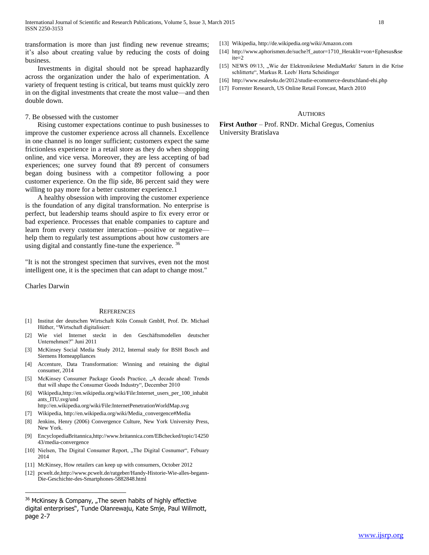transformation is more than just finding new revenue streams; it's also about creating value by reducing the costs of doing business.

 Investments in digital should not be spread haphazardly across the organization under the halo of experimentation. A variety of frequent testing is critical, but teams must quickly zero in on the digital investments that create the most value—and then double down.

#### 7. Be obsessed with the customer

 Rising customer expectations continue to push businesses to improve the customer experience across all channels. Excellence in one channel is no longer sufficient; customers expect the same frictionless experience in a retail store as they do when shopping online, and vice versa. Moreover, they are less accepting of bad experiences; one survey found that 89 percent of consumers began doing business with a competitor following a poor customer experience. On the flip side, 86 percent said they were willing to pay more for a better customer experience.

 A healthy obsession with improving the customer experience is the foundation of any digital transformation. No enterprise is perfect, but leadership teams should aspire to fix every error or bad experience. Processes that enable companies to capture and learn from every customer interaction—positive or negative help them to regularly test assumptions about how customers are using digital and constantly fine-tune the experience.<sup>36</sup>

"It is not the strongest specimen that survives, even not the most intelligent one, it is the specimen that can adapt to change most."

Charles Darwin

 $\overline{a}$ 

#### **REFERENCES**

- [1] Institut der deutschen Wirtschaft Köln Consult GmbH, Prof. Dr. Michael Hüther, "Wirtschaft digitalisiert:
- [2] Wie viel Internet steckt in den Geschäftsmodellen deutscher Unternehmen?" Juni 2011
- [3] McKinsey Social Media Study 2012, Internal study for BSH Bosch and Siemens Homeappliances
- [4] Accenture, Data Transformation: Winning and retaining the digital consumer, 2014
- [5] McKinsey Consumer Package Goods Practice, "A decade ahead: Trends that will shape the Consumer Goods Industry", December 2010
- [6] Wikipedia,http://en.wikipedia.org/wiki/File:Internet\_users\_per\_100\_inhabit ants\_ITU.svg/und
- http://en.wikipedia.org/wiki/File:InternetPenetrationWorldMap.svg
- [7] Wikipedia, http://en.wikipedia.org/wiki/Media\_convergence#Media [8] Jenkins, Henry (2006) Convergence Culture, New York University Press,
- New York. [9] EncyclopediaBritannica,http://www.britannica.com/EBchecked/topic/14250
- 43/media-convergence
- [10] Nielsen, The Digital Consumer Report, "The Digital Cosnumer", Febuary 2014
- [11] McKinsey, How retailers can keep up with consumers, October 2012
- [12] pcwelt.de,http://www.pcwelt.de/ratgeber/Handy-Historie-Wie-alles-begann-Die-Geschichte-des-Smartphones-5882848.html
- [13] Wikipedia, http://de.wikipedia.org/wiki/Amazon.com
- [14] http://www.aphorismen.de/suche?f\_autor=1710\_Heraklit+von+Ephesus&se ite=2
- [15] NEWS 09/13, "Wie der Elektronikriese MediaMarkt/ Saturn in die Krise schlitterte", Markus R. Leeb/ Herta Scheidinger
- [16] http://www.esales4u.de/2012/studie-ecommerce-deutschland-ehi.php
- [17] Forrester Research, US Online Retail Forecast, March 2010

#### **AUTHORS**

**First Author** – Prof. RNDr. Michal Gregus, Comenius University Bratislava

 $36$  McKinsey & Company, "The seven habits of highly effective digital enterprises", Tunde Olanrewaju, Kate Smje, Paul Willmott, page 2-7